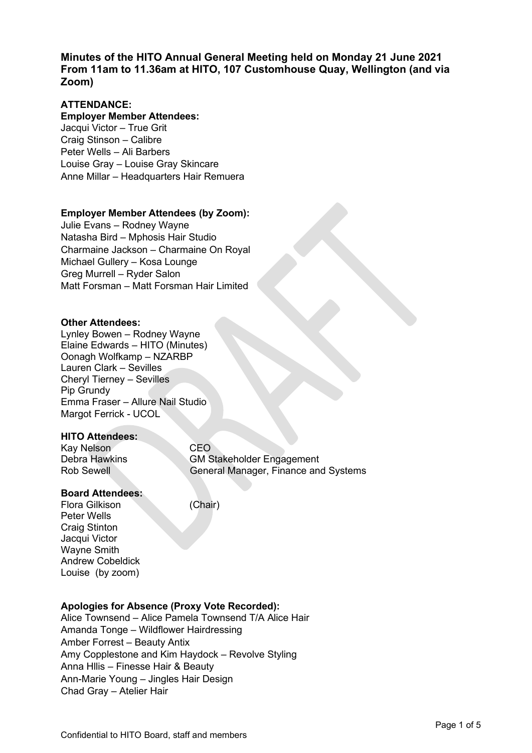**Minutes of the HITO Annual General Meeting held on Monday 21 June 2021 From 11am to 11.36am at HITO, 107 Customhouse Quay, Wellington (and via Zoom)** 

## **ATTENDANCE:**

## **Employer Member Attendees:**

Jacqui Victor – True Grit Craig Stinson – Calibre Peter Wells – Ali Barbers Louise Gray – Louise Gray Skincare Anne Millar – Headquarters Hair Remuera

### **Employer Member Attendees (by Zoom):**

Julie Evans – Rodney Wayne Natasha Bird – Mphosis Hair Studio Charmaine Jackson – Charmaine On Royal Michael Gullery – Kosa Lounge Greg Murrell – Ryder Salon Matt Forsman – Matt Forsman Hair Limited

### **Other Attendees:**

Lynley Bowen – Rodney Wayne Elaine Edwards – HITO (Minutes) Oonagh Wolfkamp – NZARBP Lauren Clark – Sevilles Cheryl Tierney – Sevilles Pip Grundy Emma Fraser – Allure Nail Studio Margot Ferrick - UCOL

### **HITO Attendees:**

Kay Nelson<br>Debra Hawkins GM S **GM Stakeholder Engagement** Rob Sewell General Manager, Finance and Systems

### **Board Attendees:**

Flora Gilkison (Chair) Peter Wells Craig Stinton Jacqui Victor Wayne Smith Andrew Cobeldick Louise (by zoom)

## **Apologies for Absence (Proxy Vote Recorded):**

Alice Townsend – Alice Pamela Townsend T/A Alice Hair Amanda Tonge – Wildflower Hairdressing Amber Forrest – Beauty Antix Amy Copplestone and Kim Haydock – Revolve Styling Anna Hllis – Finesse Hair & Beauty Ann-Marie Young – Jingles Hair Design Chad Gray – Atelier Hair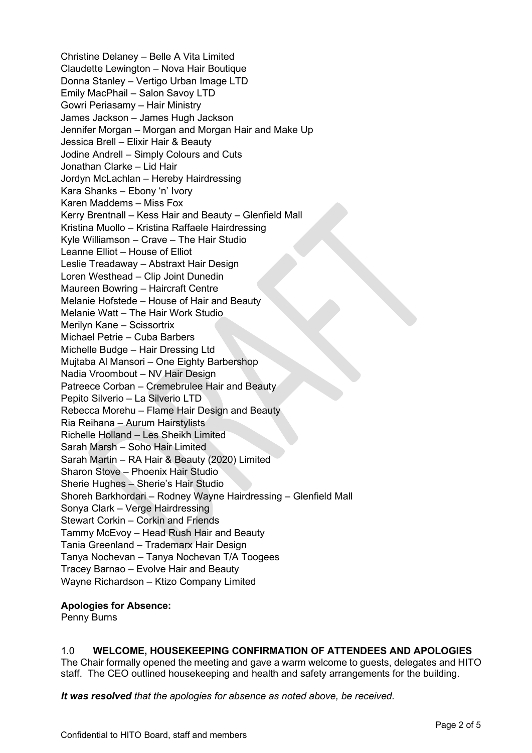Christine Delaney – Belle A Vita Limited Claudette Lewington – Nova Hair Boutique Donna Stanley – Vertigo Urban Image LTD Emily MacPhail – Salon Savoy LTD Gowri Periasamy – Hair Ministry James Jackson – James Hugh Jackson Jennifer Morgan – Morgan and Morgan Hair and Make Up Jessica Brell – Elixir Hair & Beauty Jodine Andrell – Simply Colours and Cuts Jonathan Clarke – Lid Hair Jordyn McLachlan – Hereby Hairdressing Kara Shanks – Ebony 'n' Ivory Karen Maddems – Miss Fox Kerry Brentnall – Kess Hair and Beauty – Glenfield Mall Kristina Muollo – Kristina Raffaele Hairdressing Kyle Williamson – Crave – The Hair Studio Leanne Elliot – House of Elliot Leslie Treadaway – Abstraxt Hair Design Loren Westhead – Clip Joint Dunedin Maureen Bowring – Haircraft Centre Melanie Hofstede – House of Hair and Beauty Melanie Watt – The Hair Work Studio Merilyn Kane – Scissortrix Michael Petrie – Cuba Barbers Michelle Budge – Hair Dressing Ltd Mujtaba Al Mansori – One Eighty Barbershop Nadia Vroombout – NV Hair Design Patreece Corban – Cremebrulee Hair and Beauty Pepito Silverio – La Silverio LTD Rebecca Morehu – Flame Hair Design and Beauty Ria Reihana – Aurum Hairstylists Richelle Holland – Les Sheikh Limited Sarah Marsh – Soho Hair Limited Sarah Martin – RA Hair & Beauty (2020) Limited Sharon Stove – Phoenix Hair Studio Sherie Hughes – Sherie's Hair Studio Shoreh Barkhordari – Rodney Wayne Hairdressing – Glenfield Mall Sonya Clark – Verge Hairdressing Stewart Corkin – Corkin and Friends Tammy McEvoy – Head Rush Hair and Beauty Tania Greenland – Trademarx Hair Design Tanya Nochevan – Tanya Nochevan T/A Toogees Tracey Barnao – Evolve Hair and Beauty Wayne Richardson – Ktizo Company Limited

## **Apologies for Absence:**

Penny Burns

## 1.0 **WELCOME, HOUSEKEEPING CONFIRMATION OF ATTENDEES AND APOLOGIES**

The Chair formally opened the meeting and gave a warm welcome to guests, delegates and HITO staff. The CEO outlined housekeeping and health and safety arrangements for the building.

*It was resolved that the apologies for absence as noted above, be received.*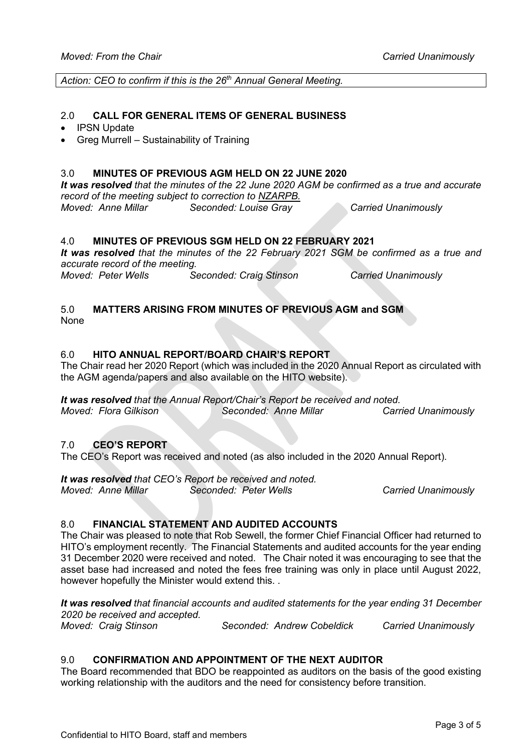Action: CEO to confirm if this is the 26<sup>th</sup> Annual General Meeting.

### 2.0 **CALL FOR GENERAL ITEMS OF GENERAL BUSINESS**

- **IPSN Update**
- Greg Murrell Sustainability of Training

# 3.0 **MINUTES OF PREVIOUS AGM HELD ON 22 JUNE 2020**

*It was resolved that the minutes of the 22 June 2020 AGM be confirmed as a true and accurate record of the meeting subject to correction to NZARPB. Moved: Anne Millar Seconded: Louise Gray Carried Unanimously*

# 4.0 **MINUTES OF PREVIOUS SGM HELD ON 22 FEBRUARY 2021**

*It was resolved that the minutes of the 22 February 2021 SGM be confirmed as a true and accurate record of the meeting. Moved: Peter Wells Seconded: Craig Stinson Carried Unanimously*

5.0 **MATTERS ARISING FROM MINUTES OF PREVIOUS AGM and SGM**

None

## 6.0 **HITO ANNUAL REPORT/BOARD CHAIR'S REPORT**

The Chair read her 2020 Report (which was included in the 2020 Annual Report as circulated with the AGM agenda/papers and also available on the HITO website).

*It was resolved that the Annual Report/Chair's Report be received and noted. Moved: Flora Gilkison Seconded: Anne Millar Carried Unanimously*

## 7.0 **CEO'S REPORT**

The CEO's Report was received and noted (as also included in the 2020 Annual Report).

*It was resolved that CEO's Report be received and noted.*

*Moved: Anne Millar Seconded: Peter Wells Carried Unanimously*

## 8.0 **FINANCIAL STATEMENT AND AUDITED ACCOUNTS**

The Chair was pleased to note that Rob Sewell, the former Chief Financial Officer had returned to HITO's employment recently. The Financial Statements and audited accounts for the year ending 31 December 2020 were received and noted. The Chair noted it was encouraging to see that the asset base had increased and noted the fees free training was only in place until August 2022, however hopefully the Minister would extend this. .

#### *It was resolved that financial accounts and audited statements for the year ending 31 December 2020 be received and accepted.*

*Moved: Craig Stinson Seconded: Andrew Cobeldick Carried Unanimously*

## 9.0 **CONFIRMATION AND APPOINTMENT OF THE NEXT AUDITOR**

The Board recommended that BDO be reappointed as auditors on the basis of the good existing working relationship with the auditors and the need for consistency before transition.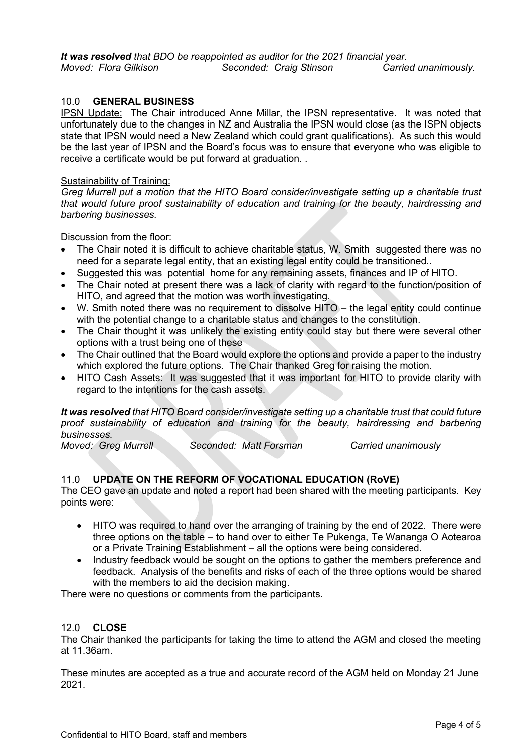### 10.0 **GENERAL BUSINESS**

IPSN Update: The Chair introduced Anne Millar, the IPSN representative. It was noted that unfortunately due to the changes in NZ and Australia the IPSN would close (as the ISPN objects state that IPSN would need a New Zealand which could grant qualifications). As such this would be the last year of IPSN and the Board's focus was to ensure that everyone who was eligible to receive a certificate would be put forward at graduation. .

### Sustainability of Training:

*Greg Murrell put a motion that the HITO Board consider/investigate setting up a charitable trust that would future proof sustainability of education and training for the beauty, hairdressing and barbering businesses.* 

Discussion from the floor:

- The Chair noted it is difficult to achieve charitable status, W. Smith suggested there was no need for a separate legal entity, that an existing legal entity could be transitioned..
- Suggested this was potential home for any remaining assets, finances and IP of HITO.
- The Chair noted at present there was a lack of clarity with regard to the function/position of HITO, and agreed that the motion was worth investigating.
- W. Smith noted there was no requirement to dissolve HITO the legal entity could continue with the potential change to a charitable status and changes to the constitution.
- The Chair thought it was unlikely the existing entity could stay but there were several other options with a trust being one of these
- The Chair outlined that the Board would explore the options and provide a paper to the industry which explored the future options. The Chair thanked Greg for raising the motion.
- HITO Cash Assets: It was suggested that it was important for HITO to provide clarity with regard to the intentions for the cash assets.

*It was resolved that HITO Board consider/investigate setting up a charitable trust that could future proof sustainability of education and training for the beauty, hairdressing and barbering businesses.* 

*Moved: Greg Murrell Seconded: Matt Forsman Carried unanimously*

## 11.0 **UPDATE ON THE REFORM OF VOCATIONAL EDUCATION (RoVE)**

The CEO gave an update and noted a report had been shared with the meeting participants. Key points were:

- HITO was required to hand over the arranging of training by the end of 2022. There were three options on the table – to hand over to either Te Pukenga, Te Wananga O Aotearoa or a Private Training Establishment – all the options were being considered.
- Industry feedback would be sought on the options to gather the members preference and feedback. Analysis of the benefits and risks of each of the three options would be shared with the members to aid the decision making.

There were no questions or comments from the participants.

### 12.0 **CLOSE**

The Chair thanked the participants for taking the time to attend the AGM and closed the meeting at 11.36am.

These minutes are accepted as a true and accurate record of the AGM held on Monday 21 June 2021.